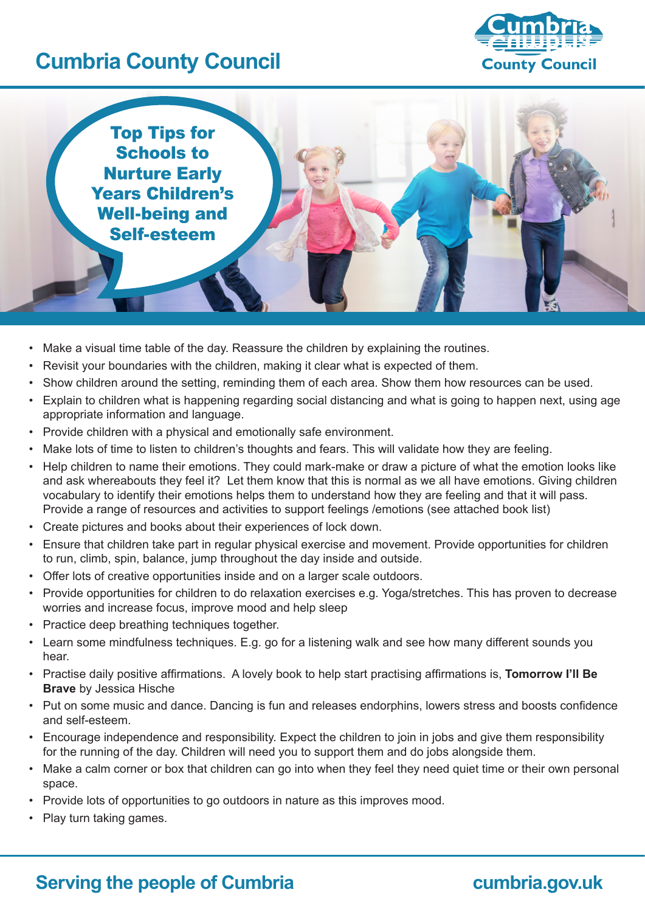# **Cumbria County Council**





- Make a visual time table of the day. Reassure the children by explaining the routines.
- • Revisit your boundaries with the children, making it clear what is expected of them.
- Show children around the setting, reminding them of each area. Show them how resources can be used.
- Explain to children what is happening regarding social distancing and what is going to happen next, using age appropriate information and language.
- Provide children with a physical and emotionally safe environment.
- • Make lots of time to listen to children's thoughts and fears. This will validate how they are feeling.
- Help children to name their emotions. They could mark-make or draw a picture of what the emotion looks like and ask whereabouts they feel it? Let them know that this is normal as we all have emotions. Giving children vocabulary to identify their emotions helps them to understand how they are feeling and that it will pass. Provide a range of resources and activities to support feelings /emotions (see attached book list)
- • Create pictures and books about their experiences of lock down.
- • Ensure that children take part in regular physical exercise and movement. Provide opportunities for children to run, climb, spin, balance, jump throughout the day inside and outside.
- Offer lots of creative opportunities inside and on a larger scale outdoors.
- Provide opportunities for children to do relaxation exercises e.g. Yoga/stretches. This has proven to decrease worries and increase focus, improve mood and help sleep
- Practice deep breathing techniques together.
- Learn some mindfulness techniques. E.g. go for a listening walk and see how many different sounds you hear.
- • Practise daily positive affirmations. A lovely book to help start practising affirmations is, **Tomorrow I'll Be Brave** by Jessica Hische
- • Put on some music and dance. Dancing is fun and releases endorphins, lowers stress and boosts confidence and self-esteem.
- Encourage independence and responsibility. Expect the children to join in jobs and give them responsibility for the running of the day. Children will need you to support them and do jobs alongside them.
- • Make a calm corner or box that children can go into when they feel they need quiet time or their own personal space.
- • Provide lots of opportunities to go outdoors in nature as this improves mood.
- • Play turn taking games.

## **Serving the people of Cumbria <b>cumbria cumbria.gov.uk**